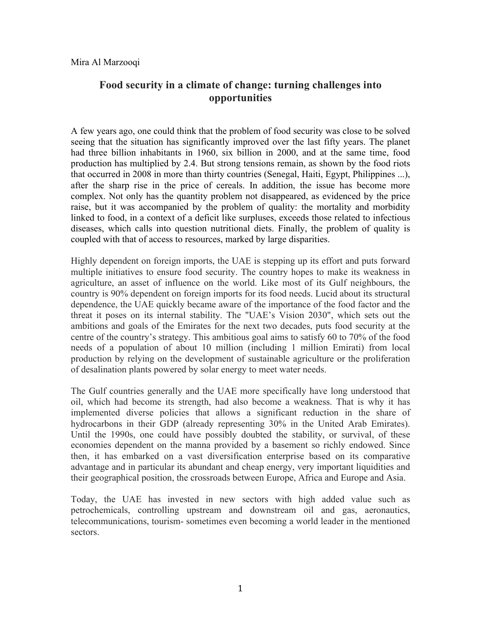# **Food security in a climate of change: turning challenges into opportunities**

A few years ago, one could think that the problem of food security was close to be solved seeing that the situation has significantly improved over the last fifty years. The planet had three billion inhabitants in 1960, six billion in 2000, and at the same time, food production has multiplied by 2.4. But strong tensions remain, as shown by the food riots that occurred in 2008 in more than thirty countries (Senegal, Haiti, Egypt, Philippines ...), after the sharp rise in the price of cereals. In addition, the issue has become more complex. Not only has the quantity problem not disappeared, as evidenced by the price raise, but it was accompanied by the problem of quality: the mortality and morbidity linked to food, in a context of a deficit like surpluses, exceeds those related to infectious diseases, which calls into question nutritional diets. Finally, the problem of quality is coupled with that of access to resources, marked by large disparities.

Highly dependent on foreign imports, the UAE is stepping up its effort and puts forward multiple initiatives to ensure food security. The country hopes to make its weakness in agriculture, an asset of influence on the world. Like most of its Gulf neighbours, the country is 90% dependent on foreign imports for its food needs. Lucid about its structural dependence, the UAE quickly became aware of the importance of the food factor and the threat it poses on its internal stability. The "UAE's Vision 2030", which sets out the ambitions and goals of the Emirates for the next two decades, puts food security at the centre of the country's strategy. This ambitious goal aims to satisfy 60 to 70% of the food needs of a population of about 10 million (including 1 million Emirati) from local production by relying on the development of sustainable agriculture or the proliferation of desalination plants powered by solar energy to meet water needs.

The Gulf countries generally and the UAE more specifically have long understood that oil, which had become its strength, had also become a weakness. That is why it has implemented diverse policies that allows a significant reduction in the share of hydrocarbons in their GDP (already representing 30% in the United Arab Emirates). Until the 1990s, one could have possibly doubted the stability, or survival, of these economies dependent on the manna provided by a basement so richly endowed. Since then, it has embarked on a vast diversification enterprise based on its comparative advantage and in particular its abundant and cheap energy, very important liquidities and their geographical position, the crossroads between Europe, Africa and Europe and Asia.

Today, the UAE has invested in new sectors with high added value such as petrochemicals, controlling upstream and downstream oil and gas, aeronautics, telecommunications, tourism- sometimes even becoming a world leader in the mentioned sectors.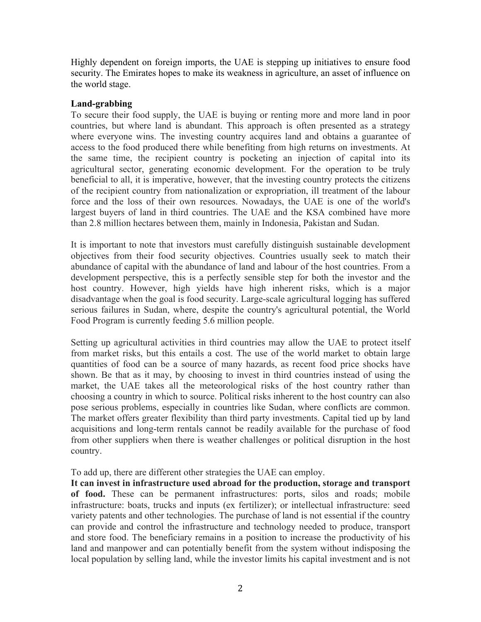Highly dependent on foreign imports, the UAE is stepping up initiatives to ensure food security. The Emirates hopes to make its weakness in agriculture, an asset of influence on the world stage.

### **Land-grabbing**

To secure their food supply, the UAE is buying or renting more and more land in poor countries, but where land is abundant. This approach is often presented as a strategy where everyone wins. The investing country acquires land and obtains a guarantee of access to the food produced there while benefiting from high returns on investments. At the same time, the recipient country is pocketing an injection of capital into its agricultural sector, generating economic development. For the operation to be truly beneficial to all, it is imperative, however, that the investing country protects the citizens of the recipient country from nationalization or expropriation, ill treatment of the labour force and the loss of their own resources. Nowadays, the UAE is one of the world's largest buyers of land in third countries. The UAE and the KSA combined have more than 2.8 million hectares between them, mainly in Indonesia, Pakistan and Sudan.

It is important to note that investors must carefully distinguish sustainable development objectives from their food security objectives. Countries usually seek to match their abundance of capital with the abundance of land and labour of the host countries. From a development perspective, this is a perfectly sensible step for both the investor and the host country. However, high yields have high inherent risks, which is a major disadvantage when the goal is food security. Large-scale agricultural logging has suffered serious failures in Sudan, where, despite the country's agricultural potential, the World Food Program is currently feeding 5.6 million people.

Setting up agricultural activities in third countries may allow the UAE to protect itself from market risks, but this entails a cost. The use of the world market to obtain large quantities of food can be a source of many hazards, as recent food price shocks have shown. Be that as it may, by choosing to invest in third countries instead of using the market, the UAE takes all the meteorological risks of the host country rather than choosing a country in which to source. Political risks inherent to the host country can also pose serious problems, especially in countries like Sudan, where conflicts are common. The market offers greater flexibility than third party investments. Capital tied up by land acquisitions and long-term rentals cannot be readily available for the purchase of food from other suppliers when there is weather challenges or political disruption in the host country.

To add up, there are different other strategies the UAE can employ.

**It can invest in infrastructure used abroad for the production, storage and transport of food.** These can be permanent infrastructures: ports, silos and roads; mobile infrastructure: boats, trucks and inputs (ex fertilizer); or intellectual infrastructure: seed variety patents and other technologies. The purchase of land is not essential if the country can provide and control the infrastructure and technology needed to produce, transport and store food. The beneficiary remains in a position to increase the productivity of his land and manpower and can potentially benefit from the system without indisposing the local population by selling land, while the investor limits his capital investment and is not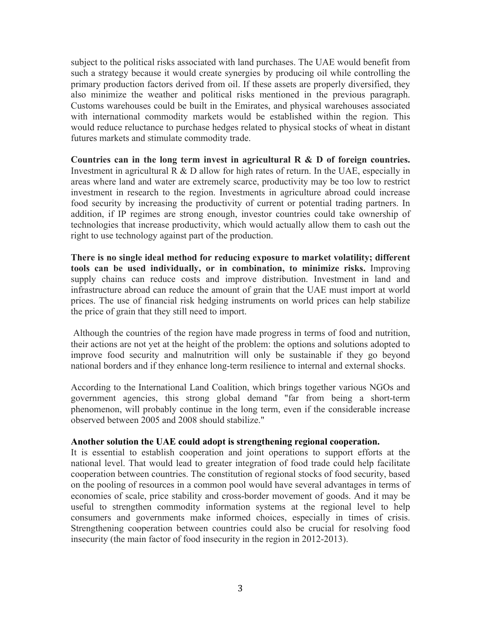subject to the political risks associated with land purchases. The UAE would benefit from such a strategy because it would create synergies by producing oil while controlling the primary production factors derived from oil. If these assets are properly diversified, they also minimize the weather and political risks mentioned in the previous paragraph. Customs warehouses could be built in the Emirates, and physical warehouses associated with international commodity markets would be established within the region. This would reduce reluctance to purchase hedges related to physical stocks of wheat in distant futures markets and stimulate commodity trade.

**Countries can in the long term invest in agricultural R & D of foreign countries.** Investment in agricultural R & D allow for high rates of return. In the UAE, especially in areas where land and water are extremely scarce, productivity may be too low to restrict investment in research to the region. Investments in agriculture abroad could increase food security by increasing the productivity of current or potential trading partners. In addition, if IP regimes are strong enough, investor countries could take ownership of technologies that increase productivity, which would actually allow them to cash out the right to use technology against part of the production.

**There is no single ideal method for reducing exposure to market volatility; different tools can be used individually, or in combination, to minimize risks.** Improving supply chains can reduce costs and improve distribution. Investment in land and infrastructure abroad can reduce the amount of grain that the UAE must import at world prices. The use of financial risk hedging instruments on world prices can help stabilize the price of grain that they still need to import.

Although the countries of the region have made progress in terms of food and nutrition, their actions are not yet at the height of the problem: the options and solutions adopted to improve food security and malnutrition will only be sustainable if they go beyond national borders and if they enhance long-term resilience to internal and external shocks.

According to the International Land Coalition, which brings together various NGOs and government agencies, this strong global demand "far from being a short-term phenomenon, will probably continue in the long term, even if the considerable increase observed between 2005 and 2008 should stabilize."

#### **Another solution the UAE could adopt is strengthening regional cooperation.**

It is essential to establish cooperation and joint operations to support efforts at the national level. That would lead to greater integration of food trade could help facilitate cooperation between countries. The constitution of regional stocks of food security, based on the pooling of resources in a common pool would have several advantages in terms of economies of scale, price stability and cross-border movement of goods. And it may be useful to strengthen commodity information systems at the regional level to help consumers and governments make informed choices, especially in times of crisis. Strengthening cooperation between countries could also be crucial for resolving food insecurity (the main factor of food insecurity in the region in 2012-2013).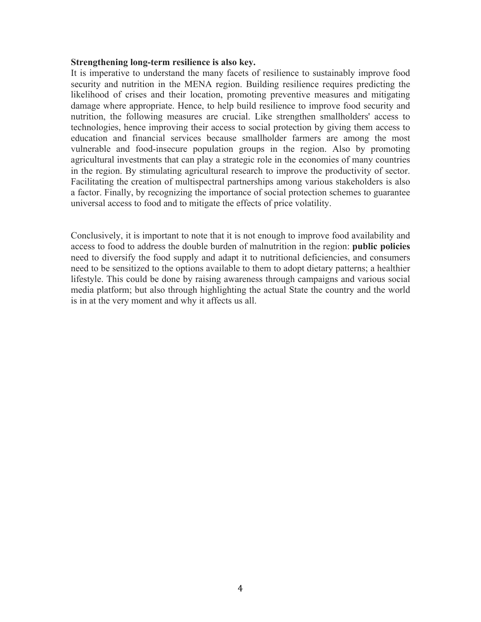#### **Strengthening long-term resilience is also key.**

It is imperative to understand the many facets of resilience to sustainably improve food security and nutrition in the MENA region. Building resilience requires predicting the likelihood of crises and their location, promoting preventive measures and mitigating damage where appropriate. Hence, to help build resilience to improve food security and nutrition, the following measures are crucial. Like strengthen smallholders' access to technologies, hence improving their access to social protection by giving them access to education and financial services because smallholder farmers are among the most vulnerable and food-insecure population groups in the region. Also by promoting agricultural investments that can play a strategic role in the economies of many countries in the region. By stimulating agricultural research to improve the productivity of sector. Facilitating the creation of multispectral partnerships among various stakeholders is also a factor. Finally, by recognizing the importance of social protection schemes to guarantee universal access to food and to mitigate the effects of price volatility.

Conclusively, it is important to note that it is not enough to improve food availability and access to food to address the double burden of malnutrition in the region: **public policies** need to diversify the food supply and adapt it to nutritional deficiencies, and consumers need to be sensitized to the options available to them to adopt dietary patterns; a healthier lifestyle. This could be done by raising awareness through campaigns and various social media platform; but also through highlighting the actual State the country and the world is in at the very moment and why it affects us all.